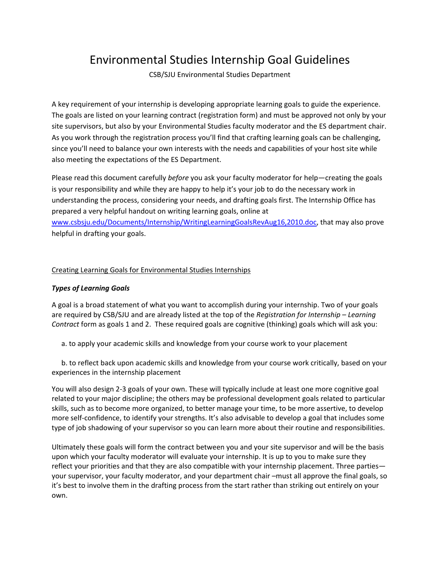# Environmental Studies Internship Goal Guidelines

CSB/SJU Environmental Studies Department

A key requirement of your internship is developing appropriate learning goals to guide the experience. The goals are listed on your learning contract (registration form) and must be approved not only by your site supervisors, but also by your Environmental Studies faculty moderator and the ES department chair. As you work through the registration process you'll find that crafting learning goals can be challenging, since you'll need to balance your own interests with the needs and capabilities of your host site while also meeting the expectations of the ES Department.

Please read this document carefully *before* you ask your faculty moderator for help—creating the goals is your responsibility and while they are happy to help it's your job to do the necessary work in understanding the process, considering your needs, and drafting goals first. The Internship Office has prepared a very helpful handout on writing learning goals, online at www.csbsju.edu/Documents/Internship/WritingLearningGoalsRevAug16,2010.doc, that may also prove helpful in drafting your goals.

# Creating Learning Goals for Environmental Studies Internships

## *Types of Learning Goals*

A goal is a broad statement of what you want to accomplish during your internship. Two of your goals are required by CSB/SJU and are already listed at the top of the *Registration for Internship – Learning Contract* form as goals 1 and 2. These required goals are cognitive (thinking) goals which will ask you:

a. to apply your academic skills and knowledge from your course work to your placement

b. to reflect back upon academic skills and knowledge from your course work critically, based on your experiences in the internship placement

You will also design 2‐3 goals of your own. These will typically include at least one more cognitive goal related to your major discipline; the others may be professional development goals related to particular skills, such as to become more organized, to better manage your time, to be more assertive, to develop more self-confidence, to identify your strengths. It's also advisable to develop a goal that includes some type of job shadowing of your supervisor so you can learn more about their routine and responsibilities.

Ultimately these goals will form the contract between you and your site supervisor and will be the basis upon which your faculty moderator will evaluate your internship. It is up to you to make sure they reflect your priorities and that they are also compatible with your internship placement. Three parties your supervisor, your faculty moderator, and your department chair –must all approve the final goals, so it's best to involve them in the drafting process from the start rather than striking out entirely on your own.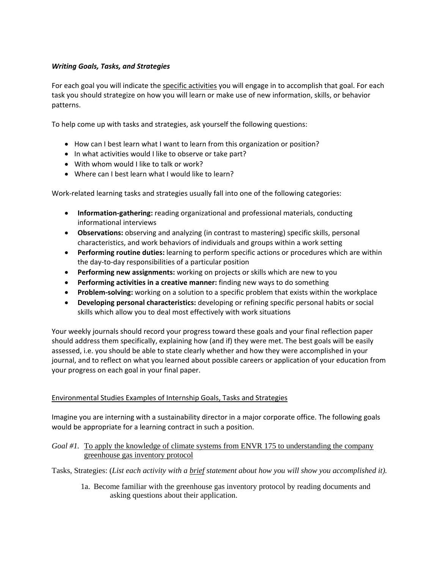# *Writing Goals, Tasks, and Strategies*

For each goal you will indicate the specific activities you will engage in to accomplish that goal. For each task you should strategize on how you will learn or make use of new information, skills, or behavior patterns.

To help come up with tasks and strategies, ask yourself the following questions:

- How can I best learn what I want to learn from this organization or position?
- In what activities would I like to observe or take part?
- With whom would I like to talk or work?
- Where can I best learn what I would like to learn?

Work-related learning tasks and strategies usually fall into one of the following categories:

- **•** Information-gathering: reading organizational and professional materials, conducting informational interviews
- **Observations:** observing and analyzing (in contrast to mastering) specific skills, personal characteristics, and work behaviors of individuals and groups within a work setting
- **Performing routine duties:** learning to perform specific actions or procedures which are within the day‐to‐day responsibilities of a particular position
- **Performing new assignments:** working on projects or skills which are new to you
- **Performing activities in a creative manner:** finding new ways to do something
- **Problem‐solving:** working on a solution to a specific problem that exists within the workplace
- **Developing personal characteristics:** developing or refining specific personal habits or social skills which allow you to deal most effectively with work situations

Your weekly journals should record your progress toward these goals and your final reflection paper should address them specifically, explaining how (and if) they were met. The best goals will be easily assessed, i.e. you should be able to state clearly whether and how they were accomplished in your journal, and to reflect on what you learned about possible careers or application of your education from your progress on each goal in your final paper.

## Environmental Studies Examples of Internship Goals, Tasks and Strategies

Imagine you are interning with a sustainability director in a major corporate office. The following goals would be appropriate for a learning contract in such a position.

## *Goal #1.* To apply the knowledge of climate systems from ENVR 175 to understanding the company greenhouse gas inventory protocol

Tasks, Strategies: (*List each activity with a brief statement about how you will show you accomplished it).* 

1a. Become familiar with the greenhouse gas inventory protocol by reading documents and asking questions about their application.